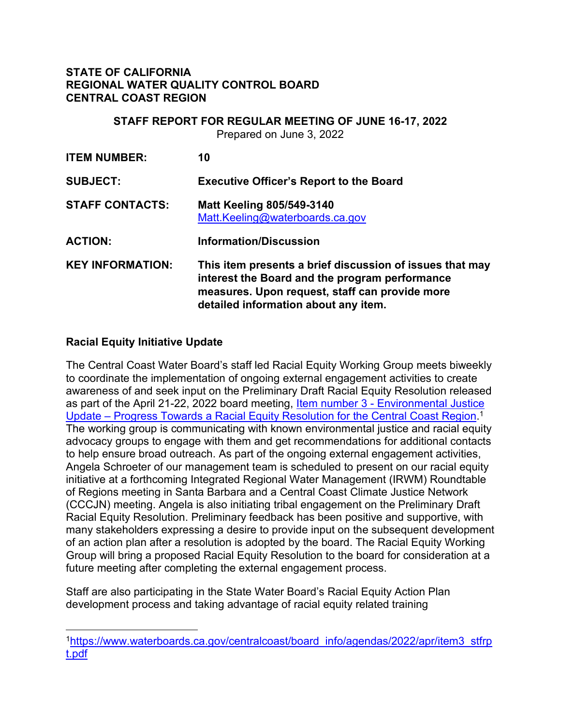#### **STATE OF CALIFORNIA REGIONAL WATER QUALITY CONTROL BOARD CENTRAL COAST REGION**

# **STAFF REPORT FOR REGULAR MEETING OF JUNE 16-17, 2022**

Prepared on June 3, 2022

| <b>ITEM NUMBER:</b>     | 10                                                                                                                                                                                                   |
|-------------------------|------------------------------------------------------------------------------------------------------------------------------------------------------------------------------------------------------|
| <b>SUBJECT:</b>         | <b>Executive Officer's Report to the Board</b>                                                                                                                                                       |
| <b>STAFF CONTACTS:</b>  | <b>Matt Keeling 805/549-3140</b><br>Matt.Keeling@waterboards.ca.gov                                                                                                                                  |
| <b>ACTION:</b>          | <b>Information/Discussion</b>                                                                                                                                                                        |
| <b>KEY INFORMATION:</b> | This item presents a brief discussion of issues that may<br>interest the Board and the program performance<br>measures. Upon request, staff can provide more<br>detailed information about any item. |

### **Racial Equity Initiative Update**

The Central Coast Water Board's staff led Racial Equity Working Group meets biweekly to coordinate the implementation of ongoing external engagement activities to create awareness of and seek input on the Preliminary Draft Racial Equity Resolution released as part of the April 21-22, 2022 board meeting, Item number 3 - [Environmental Justice](https://www.waterboards.ca.gov/centralcoast/board_info/agendas/2022/apr/item3_stfrpt.pdf)  Update – [Progress Towards a Racial Equity Resolution for the Central Coast Region](https://www.waterboards.ca.gov/centralcoast/board_info/agendas/2022/apr/item3_stfrpt.pdf).<sup>[1](#page-0-0)</sup> The working group is communicating with known environmental justice and racial equity advocacy groups to engage with them and get recommendations for additional contacts to help ensure broad outreach. As part of the ongoing external engagement activities, Angela Schroeter of our management team is scheduled to present on our racial equity initiative at a forthcoming Integrated Regional Water Management (IRWM) Roundtable of Regions meeting in Santa Barbara and a Central Coast Climate Justice Network (CCCJN) meeting. Angela is also initiating tribal engagement on the Preliminary Draft Racial Equity Resolution. Preliminary feedback has been positive and supportive, with many stakeholders expressing a desire to provide input on the subsequent development of an action plan after a resolution is adopted by the board. The Racial Equity Working Group will bring a proposed Racial Equity Resolution to the board for consideration at a future meeting after completing the external engagement process.

Staff are also participating in the State Water Board's Racial Equity Action Plan development process and taking advantage of racial equity related training

<span id="page-0-0"></span><sup>1</sup>[https://www.waterboards.ca.gov/centralcoast/board\\_info/agendas/2022/apr/item3\\_stfrp](https://www.waterboards.ca.gov/centralcoast/board_info/agendas/2022/apr/item3_stfrpt.pdf) [t.pdf](https://www.waterboards.ca.gov/centralcoast/board_info/agendas/2022/apr/item3_stfrpt.pdf)